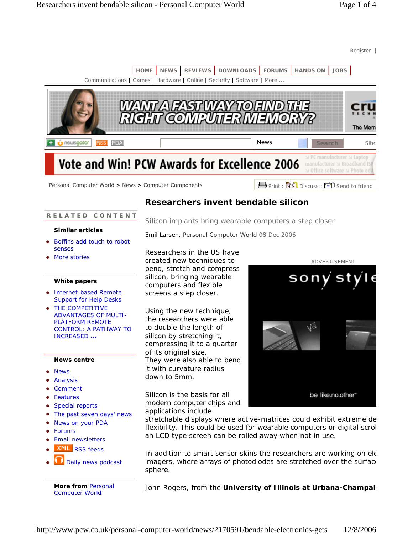

# **R E L A T E D C O N T E N T**

# **Similar articles**

- Boffins add touch to robot senses
- More stories

# **White papers**

- Internet-based Remote Support for Help Desks
- THE COMPETITIVE ADVANTAGES OF MULTI-PLATFORM REMOTE CONTROL: A PATHWAY TO INCREASED ...

## **News centre**

- News
- Analysis
- Comment
- Features
- Special reports
- The past seven days' news
- News on your PDA
- **Forums**
- **Email newsletters**
- **XML** RSS feeds
- Daily news podcast

**More from** Personal Computer World

# **Researchers invent bendable silicon**

Silicon implants bring wearable computers a step closer

Emil Larsen, Personal Computer World 08 Dec 2006

Researchers in the US have created new techniques to bend, stretch and compress silicon, bringing wearable computers and flexible screens a step closer.

Using the new technique, the researchers were able to double the length of silicon by stretching it, compressing it to a quarter of its original size. They were also able to bend it with curvature radius down to 5mm.

Silicon is the basis for all modern computer chips and applications include



stretchable displays where active-matrices could exhibit extreme de flexibility. This could be used for wearable computers or digital scrol an LCD type screen can be rolled away when not in use.

In addition to smart sensor skins the researchers are working on ele imagers, where arrays of photodiodes are stretched over the surface sphere.

John Rogers, from the **University of Illinois at Urbana-Champaig**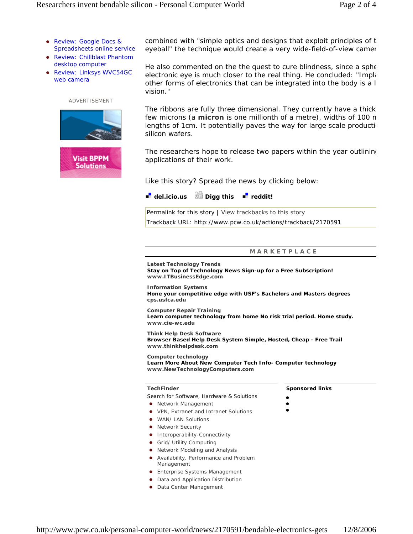- Review: Google Docs & Spreadsheets online service
- Review: Chillblast Phantom desktop computer
- Review: Linksys WVC54GC web camera

ADVERTISEMENT





combined with "simple optics and designs that exploit principles of t eyeball" the technique would create a very wide-field-of-view camer

He also commented on the the quest to cure blindness, since a sphe electronic eye is much closer to the real thing. He concluded: "Implation other forms of electronics that can be integrated into the body is a l vision."

The ribbons are fully three dimensional. They currently have a thick few microns (a **micron** is one millionth of a metre), widths of 100 m lengths of 1cm. It potentially paves the way for large scale production silicon wafers.

The researchers hope to release two papers within the year outlining applications of their work.

Like this story? Spread the news by clicking below:

**d** del.icio.us **Digg this d** reddit!

Permalink for this story | View trackbacks to this story Trackback URL: http://www.pcw.co.uk/actions/trackback/2170591

## **M A R K E T P L A C E**

**Latest Technology Trends** 

**Stay on Top of Technology News Sign-up for a Free Subscription! www.ITBusinessEdge.com**

**Information Systems Hone your competitive edge with USF's Bachelors and Masters degrees cps.usfca.edu**

**Computer Repair Training Learn computer technology from home No risk trial period. Home study. www.cie-wc.edu**

**Think Help Desk Software Browser Based Help Desk System Simple, Hosted, Cheap - Free Trail www.thinkhelpdesk.com**

**Computer technology Learn More About New Computer Tech Info- Computer technology www.NewTechnologyComputers.com**

#### **TechFinder**

Search for Software, Hardware & Solutions

- Network Management
- VPN, Extranet and Intranet Solutions
- WAN/ LAN Solutions
- Network Security
- **•** Interoperability-Connectivity
- Grid/ Utility Computing
- Network Modeling and Analysis
- Availability, Performance and Problem Management
- **•** Enterprise Systems Management
- Data and Application Distribution
- Data Center Management

#### **Sponsored links**

 $\bullet$  $\bullet$ 

 $\bullet$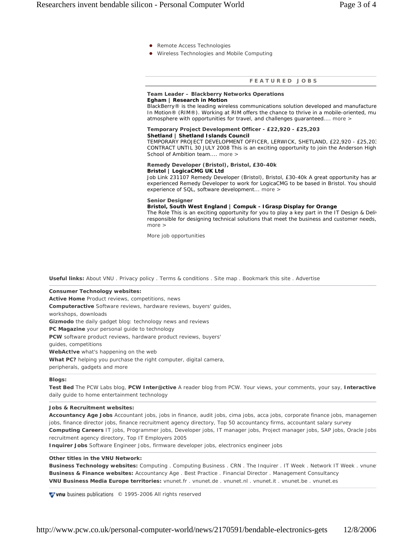- Remote Access Technologies
- Wireless Technologies and Mobile Computing

#### **F E A T U R E D J O B S**

#### **Team Leader – Blackberry Networks Operations Egham | Research in Motion**

BlackBerry® is the leading wireless communications solution developed and manufacture In Motion® (RIM®). Working at RIM offers the chance to thrive in a mobile-oriented, mu atmosphere with opportunities for travel, and challenges guaranteed.... more >

#### **Temporary Project Development Officer - £22,920 - £25,203 Shetland | Shetland Islands Council**

TEMPORARY PROJECT DEVELOPMENT OFFICER, LERWICK, SHETLAND, £22,920 - £25,203 CONTRACT UNTIL 30 JULY 2008 This is an exciting opportunity to join the Anderson High School of Ambition team.... more >

#### **Remedy Developer (Bristol), Bristol, £30-40k Bristol | LogicaCMG UK Ltd**

Job Link 231107 Remedy Developer (Bristol), Bristol, £30-40k A great opportunity has ar experienced Remedy Developer to work for LogicaCMG to be based in Bristol. You should experience of SQL, software development... more >

## **Senior Designer**

## **Bristol, South West England | Compuk - IGrasp Display for Orange**

The Role This is an exciting opportunity for you to play a key part in the IT Design & Deliv responsible for designing technical solutions that meet the business and customer needs, more >

More job opportunities

**Useful links:** About VNU . Privacy policy . Terms & conditions . Site map . Bookmark this site . Advertise

**Consumer Technology websites:** 

**Active Home** Product reviews, competitions, news

**Computer***active* Software reviews, hardware reviews, buyers' guides,

workshops, downloads

**Gizmodo** the daily gadget blog: technology news and reviews

**PC Magazine** your personal guide to technology

**PCW** software product reviews, hardware product reviews, buyers'

guides, competitions

**WebAct!ve** what's happening on the web

**What PC?** helping you purchase the right computer, digital camera,

peripherals, gadgets and more

#### **Blogs:**

**Test Bed** The PCW Labs blog, **PCW Inter@ctive** A reader blog from PCW. Your views, your comments, your say, **Interactive** daily guide to home entertainment technology

#### **Jobs & Recruitment websites:**

**Accountancy Age Jobs** Accountant jobs, jobs in finance, audit jobs, cima jobs, acca jobs, corporate finance jobs, managemen jobs, finance director jobs, finance recruitment agency directory, Top 50 accountancy firms, accountant salary survey **Computing Careers** IT jobs, Programmer jobs, Developer jobs, IT manager jobs, Project manager jobs, SAP jobs, Oracle Jobs recruitment agency directory, Top IT Employers 2005

**Inquirer Jobs** Software Engineer Jobs, firmware developer jobs, electronics engineer jobs

#### **Other titles in the VNU Network:**

**Business Technology websites:** Computing . Computing Business . CRN . The Inquirer . IT Week . Network IT Week . vnunet **Business & Finance websites:** Accountancy Age . Best Practice . Financial Director . Management Consultancy **VNU Business Media Europe territories:** vnunet.fr . vnunet.de . vnunet.nl . vnunet.it . vnunet.be . vnunet.es

**Vivnu** business publications © 1995-2006 All rights reserved